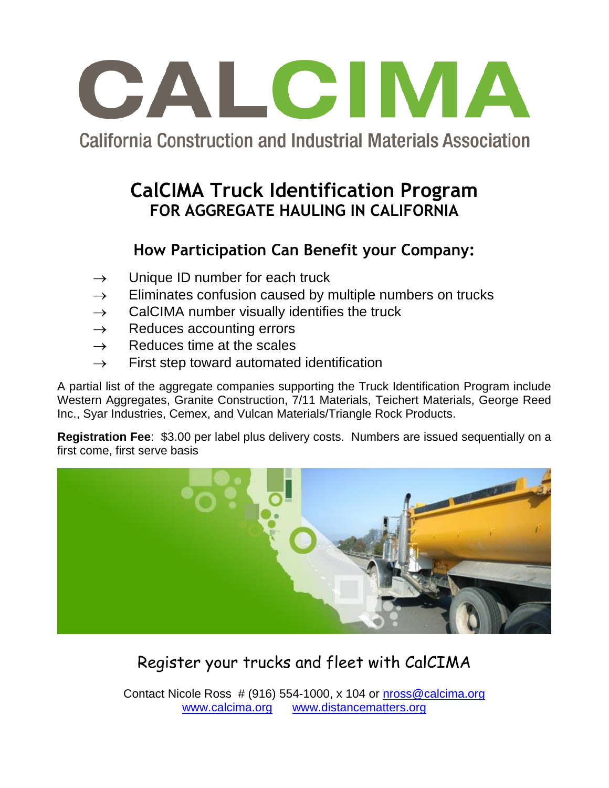

# **California Construction and Industrial Materials Association**

### **CalCIMA Truck Identification Program FOR AGGREGATE HAULING IN CALIFORNIA**

#### **How Participation Can Benefit your Company:**

- $\rightarrow$  Unique ID number for each truck
- $\rightarrow$  Eliminates confusion caused by multiple numbers on trucks
- $\rightarrow$  CalCIMA number visually identifies the truck
- $\rightarrow$  Reduces accounting errors
- $\rightarrow$  Reduces time at the scales
- $\rightarrow$  First step toward automated identification

A partial list of the aggregate companies supporting the Truck Identification Program include Western Aggregates, Granite Construction, 7/11 Materials, Teichert Materials, George Reed Inc., Syar Industries, Cemex, and Vulcan Materials/Triangle Rock Products.

**Registration Fee**: \$3.00 per label plus delivery costs. Numbers are issued sequentially on a first come, first serve basis



# Register your trucks and fleet with CalCIMA

Contact Nicole Ross  $# (916)$  554-1000, x 104 or  $n \cdot \cos \omega$  calcima.org [www.calcima.org](http://www.calcima.org/) [www.distancematters.org](http://www.distancematters.org/)